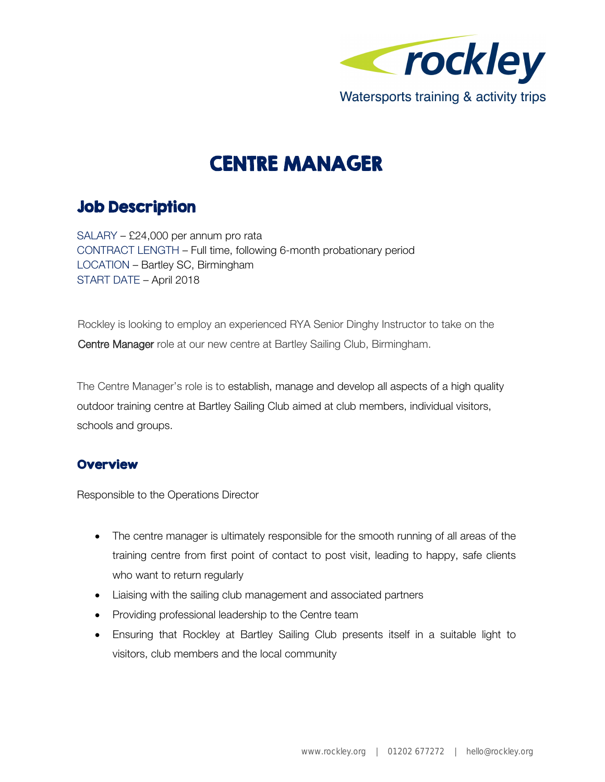

# CENTRE MANAGER

# Job Description

SALARY – £24,000 per annum pro rata CONTRACT LENGTH – Full time, following 6-month probationary period LOCATION – Bartley SC, Birmingham START DATE – April 2018

Rockley is looking to employ an experienced RYA Senior Dinghy Instructor to take on the Centre Manager role at our new centre at Bartley Sailing Club, Birmingham.

The Centre Manager's role is to establish, manage and develop all aspects of a high quality outdoor training centre at Bartley Sailing Club aimed at club members, individual visitors, schools and groups.

### **Overview**

Responsible to the Operations Director

- The centre manager is ultimately responsible for the smooth running of all areas of the training centre from first point of contact to post visit, leading to happy, safe clients who want to return regularly
- Liaising with the sailing club management and associated partners
- Providing professional leadership to the Centre team
- Ensuring that Rockley at Bartley Sailing Club presents itself in a suitable light to visitors, club members and the local community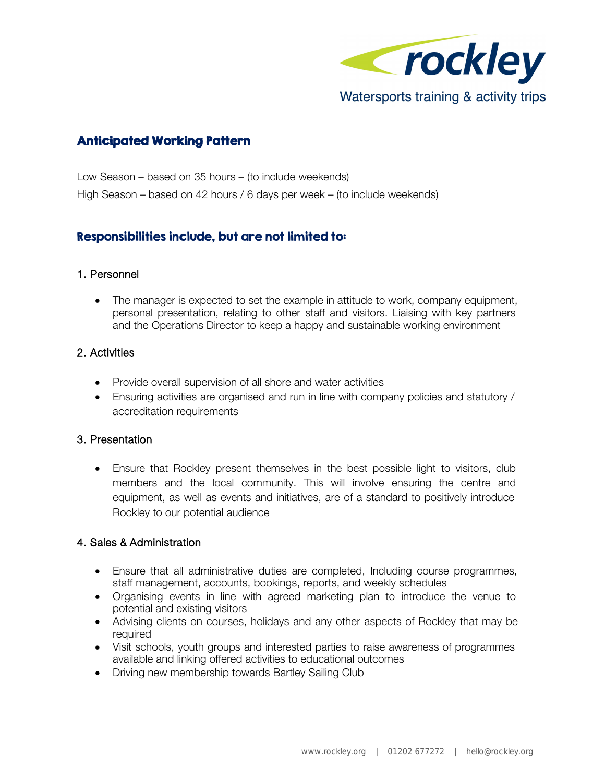

# Anticipated Working Pattern

Low Season – based on 35 hours – (to include weekends) High Season – based on 42 hours / 6 days per week – (to include weekends)

## Responsibilities include, but are not limited to:

#### 1. Personnel

• The manager is expected to set the example in attitude to work, company equipment, personal presentation, relating to other staff and visitors. Liaising with key partners and the Operations Director to keep a happy and sustainable working environment

#### 2. Activities

- Provide overall supervision of all shore and water activities
- Ensuring activities are organised and run in line with company policies and statutory / accreditation requirements

#### 3. Presentation

• Ensure that Rockley present themselves in the best possible light to visitors, club members and the local community. This will involve ensuring the centre and equipment, as well as events and initiatives, are of a standard to positively introduce Rockley to our potential audience

#### 4. Sales & Administration

- Ensure that all administrative duties are completed, Including course programmes, staff management, accounts, bookings, reports, and weekly schedules
- Organising events in line with agreed marketing plan to introduce the venue to potential and existing visitors
- Advising clients on courses, holidays and any other aspects of Rockley that may be required
- Visit schools, youth groups and interested parties to raise awareness of programmes available and linking offered activities to educational outcomes
- Driving new membership towards Bartley Sailing Club